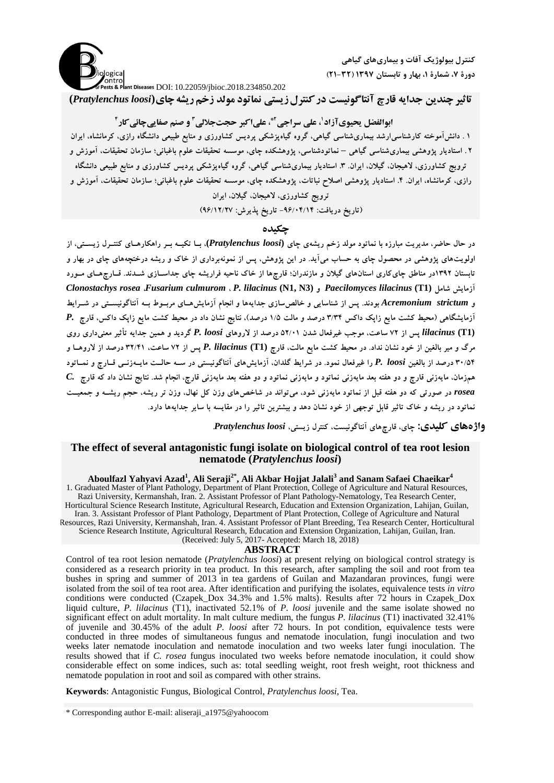USE<br>Ontro<br>ests & Plant Diseases DOI: 10.22059/jbioc.2018.234850.202

ogica

**کىترل بیًلًشیک آفات ي بیماریَای گیاَی ديرِ ،7 شمارِ ،1 بُار ي تابستان 1317 )21-32(**

**تاثیرچندین جدایه قارچ آنتاگونیست درکنترلزیستی نماتود مولد زخم ریشهچای(***loosi Pratylenchus***(**

## ابوالفضل یحیویآزاد<sup>'</sup>، علی سراجی<sup>1</sup>**ْ، علی۱کبر حجتجلالی ٔ و صنم صفاییچائی کار ٔ**

۱ . دانشآموخته کارشناسیارشد بیماریشناسی گیاهی، گروه گیاهپزشکی پردیس کشاورزی و منابع طبیعی دانشگاه رازی، کرمانشاه، ایران **۲** . استادیار پژوهشی بیماریشناسی گیاهی – نماتودشناسی، پژوهشکده چای، موسسه تحقیقات علوم باغبانی؛ سازمان تحقیقات، آموزش و ترویج کشاورزی، لاهیجان، گیلان، ایران. ۳. استادیار بیماریشناسی گیاهی، گروه گیاهپزشکی پردیس کشاورزی و منابع طبیعی دانشگاه رازى، کرمانشاه، ایران. ۴. استادیار پژوهشی اصلاح نباتات، پژوهشکده چای، موسسه تحقیقات علوم باغبانی؛ سازمان تحقیقات، آموزش و **تزٍیج کطاٍرسی، الّیجاى، گیالى، ایزاى**

**)تاریخ دریافت: -66/04/14 تاریخ پذیزش: 66/12/27(**

### **چکیده**

**در حال حاضز، هدیزیت هثارسُ تا ًواتَد هَلد سخن ریطِی چای (***loosi Pratylenchus***(، تاا تکیاِ تاز راّکارّاای کٌتازل سیساتی، اس**  اولویتهای پژوهشی در محصول چای به حساب می آید. در این پژوهش، پس از نمونهبرداری از خاک و ریشه درختچههای چای در بهار و تابستان ۱۳۹۲در مناطق چایکاری استان<sub>ْ</sub>های گیلان و مازندران؛ قارچِها از خاک ناحیه فراریشه چای جداسـازی شــدند. قــارچِهــای مــورد *Clonostachys rosea* **،***Fusarium culmurom* **،** *P. lilacinus* **(N1, N3) ٍ** *Paecilomyces lilacinus* **(T1) ضاهل آسهایص** و Acremonium *strictum بو*دند. پس از شناسایی و خالص سازی جدایِهها و انجام آزمایشهـای مربـوط بــه آنتاگونیســتی در شــرایط **آسهایطگاّی )هحی کطت هایع ساپک داکس 3/34 درصد ٍ هالت 1/5 درصد(، ًتایج ًطاى داد در هحی کطت هایع ساپک داکس، قارچ** *.P* **(1T****(***lilacinus* **پس اس 72 ساعت، هَجة غیزفعال ضدى 52/01 درصد اس الرٍّای** *loosi .P* **گزدید ٍ ّویي جدایِ تأثیز هعٌیداری رٍی هزگ ٍ هیز تالغیي اس خَد ًطاى ًداد. در هحی کطت هایع هالت، قارچ (1T (***lilacinus .P* **پس اس 72 ساعت، 32/41 درصد اس الرٍّاا ٍ 30/54 درصد اس تالغیي** *loosi .P* **را غیزفعال ًوَد. در ضزای گلداى، آسهایصّای آًتاگًَیستی در ساِ حالات هایاِ سًای قاارچ ٍ ًوااتَد ّنسهاى، هایِسًی قارچ ٍ دٍ ّفتِ تعد هایِسًی ًواتَد ٍ هایِسًی ًواتَد ٍ دٍ ّفتِ تعد هایِسًی قارچ، اًجام ضد. ًتایج ًطاى داد کِ قارچ** *.C* rosea در صورتی که دو هفته قبل از نماتود مایِهزنی شود، می تواند در شاخصهای وزن کل نهال، وزن تر ریشه، حجم ریشــه و جمعیــت نماتود در ریشه و خاک تاثیر قابل توجهی از خود نشان دهد و بیشترین تاثیر را در مقایسه با سایر جدایهها دارد.

**واشههای کلیدی: چای، قارچّای آًتاگًَیست، کٌتزل سیستی،** *loosi Pratylenchus***.**

#### **The effect of several antagonistic fungi isolate on biological control of tea root lesion nematode (***Pratylenchus loosi***)**

#### **Aboulfazl Yahyavi Azad<sup>1</sup> , Ali Seraji2\* , Ali Akbar Hojjat Jalali<sup>3</sup> and Sanam Safaei Chaeikar<sup>4</sup>**

1. Graduated Master of Plant Pathology, Department of Plant Protection, College of Agriculture and Natural Resources, Razi University, Kermanshah, Iran. 2. Assistant Professor of Plant Pathology-Nematology, Tea Research Center, Horticultural Science Research Institute, Agricultural Research, Education and Extension Organization, Lahijan, Guilan, Iran. 3. Assistant Professor of Plant Pathology, Department of Plant Protection, College of Agriculture and Natural Resources, Razi University, Kermanshah, Iran. 4. Assistant Professor of Plant Breeding, Tea Research Center, Horticultural Science Research Institute, Agricultural Research, Education and Extension Organization, Lahijan, Guilan, Iran. (Received: July 5, 2017- Accepted: March 18, 2018)

#### **ABSTRACT**

Control of tea root lesion nematode (*Pratylenchus loosi*) at present relying on biological control strategy is considered as a research priority in tea product. In this research, after sampling the soil and root from tea bushes in spring and summer of 2013 in tea gardens of Guilan and Mazandaran provinces, fungi were isolated from the soil of tea root area. After identification and purifying the isolates, equivalence tests *in vitro* conditions were conducted (Czapek\_Dox 34.3% and 1.5% malts). Results after 72 hours in Czapek\_Dox liquid culture, *P. lilacinus* (T1), inactivated 52.1% of *P. loosi* juvenile and the same isolate showed no significant effect on adult mortality. In malt culture medium, the fungus *P. lilacinus* (T1) inactivated 32.41% of juvenile and 30.45% of the adult *P. loosi* after 72 hours. In pot condition, equivalence tests were conducted in three modes of simultaneous fungus and nematode inoculation, fungi inoculation and two weeks later nematode inoculation and nematode inoculation and two weeks later fungi inoculation. The results showed that if *C. rosea* fungus inoculated two weeks before nematode inoculation, it could show considerable effect on some indices, such as: total seedling weight, root fresh weight, root thickness and nematode population in root and soil as compared with other strains.

**Keywords**: Antagonistic Fungus, Biological Control, *Pratylenchus loosi*, Tea.

\* Corresponding author E-mail: aliseraji\_a1975@yahoocom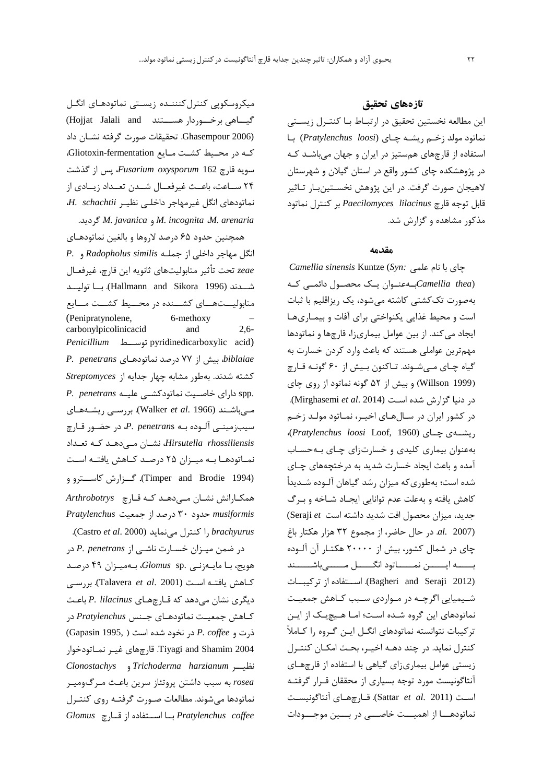میکروسکوپی کنترلکنننـده زیسـتی نماتودهـای انگــل گیساهی برخسوردار هسستند (Hojjat Jalali and (Ghasempour 2006. تحقیقات صورت گرفته نشـان داد که در محـیط کشـت مـایع Gliotoxin-fermentation، ؾَیِ قبضچ 162 *oxysporum Fusarium*، پؽ اظ گصقت ٢۴ ســاعت، باعــث غیرفعــال شــدن تعــداد زیــادی از نماتودهای انگل غیرمهاجر داخل<sub>ی</sub> نظیـر *H. schachtii* .گطزیس *M. javanica* ٍ *M. incognita* ،*M. arenaria*

همچنین حدود ۶۵ درصد لاروها و بالغین نماتودهـای اً ل هْبجط زاذلی اظ جولاِ *similis Radopholus* ٍ *.P zeae* تحت تأثیط هتبثَلیتّبی ثبًَیِ ایي قبضچ، غیطفعابل شــدند (1996 Hallmann and Sikora). بــا تولیـــد متابولیستهسای کشسنده در محسیط کشست مسایع (Penipratynolene, 6-methoxy carbonylpicolinicacid and 2,6- *Penicillium* ؾاااطَت pyridinedicarboxylic acid) *biblaiae*، ثیف اظ 77 زضنس ًوبتَزّابی *penetrans .P* کكتِ قسًس. ثِطَض هكبثِ چْبض جسایِ اظ *Streptomyces* .spp زاضای ذبنایت ًوبتَزکكای علیاِ *penetrans .P* های ثبقاٌس (1966 .*al et* Walker(. ثطضؾای ضیكاِ ّابی ؾیتظهیٌای آلاَزُ ثاِ *penetran*s *.P*، زض حضاَض قابضچ *Hirsutella rhossiliensis* نشان میدهد که تعداد نمـاتودهـا بـه میـزان ۲۵ درصـد کـاهش یافتـه اسـت ات گرارش کاستوو و .)Timper and Brodie 1994) همكـارانش نشـان مـى دهـد كـه قـارچ Arthrobotrys *musiformis* حسٍز 30 زضنس اظ جوعیت *Pratylenchus*

*brachyurus* ضا کٌتطل هیًوبیس (2000 .*al et* Castro(. زض ضوي هیاعاى ذؿابضت ًبقای اظ *penetrans .P* زض َّیج، ثاب هبیاِ ظًای .sp *Glomus*، ثاِ هیاعاى 49 زضناس کابّف یبفتاِ اؾات (2001 .*al et* Talavera(. ثطضؾای زی طی ًكبى هیزّس کِ قابضچ ّابی *lilacinus .P* ثبعاث کابّف جوعیات ًوبتَزّابی جاٌؽ *Pratylenchus* زض شضت ٍ *coffee .P* زض ًرَز قسُ اؾت ) 1995, Gapasin( 2004 Tiyagi and Shamim. قارچهای غیـر نمـاتودخوار *Clonostachys* ٍ *Trichoderma harzianum* ییااطً rosea به سبب داشتن پروتئاز سرين با*عـث مـرگ*وميـر نماتودها می شوند. مطالعات صـورت گرفتـه روی کنتـرل *coffee Pratylenchus* ثااب اؾااتفبزُ اظ قاابضچ *Glomus*

### **تازههای تحقیق**

این مطالعه نخستین تحقیق در ارتبـاط بـا کنتـرل زیسـتی ًوبتَز هَلس ظذان ضیكاِ چابی (*loosi Pratylenchus* (ثاب استفاده از قارچهاى همستیز در ایران و جهان میباشـد کـه در پژوهشکده چای کشور واقع در استان گیلان و شهرستان لاهیجان صورت گرفت. در این پژوهش نخسـتینبـار تـاثیر قابل توجِه قارچ *Paecilomyces lilacinus* بر کنترل نماتود مذکور مشاهده و گزارش شد.

#### **مقدمه**

چبی ثب ًبم علوی *:Syn* (Kuntze *sinensis Camellia* (*Camellia thea*بهعنـوان یـک محصـول دائمـی کـه بِهصورت تککشتی کاشته میشود، یک ریزاقلیم با ثبات است و محیط غذایی یکنواختی برای آفات و بیمـاریهـا ایجاد میکند. از بین عوامل بیماریزا، قارچها و نماتودها مهم ترين عواملي هستند که باعث وارد کردن خسارت به گیاه چـای مــی شــوند. تـاکنون بــیش از ۶۰ گونــه قــارچ (1999 Willson) و بیش از ۵۲ گونه نماتود از روی چای در دنیا گزارش شده است (Mirghasemi et al. 2014). در کشور ایران در سـالهـای اخیـر، نمـاتود مولـد زخـم ضیكااِی چاابی (1960 ,Loof *loosi Pratylenchus*(، به عنوان بیماری کلیدی و خسارتزای چای به حسـاب آهسُ ٍ ثبعث ایجبز ذؿبضت قسیس ثِ زضذتچِّبی چابی شده است؛ بهطوریکه میزان رشد گیاهان آلـوده شـدیداً کاهش یافته و بهعلت عدم توانایی ایجاد شـاخه و بـرگ جسیس، هیعاى هحهَل افت قسیس زاقتِ اؾت *et* Seraji( *al.* 2007) *.al.* در حال حاضر، از مجموع ٣٢ هزار هكتار باغ چای در شمال کشور، بیش از ۲۰۰۰۰ هکتـار آن آلـوده بــــه ایـــــن نمـــــاتود انگـــــل مــــــى باشــــــند (2012 Bagheri and Seraji). استفاده از ترکیبات شـیمیایی اگرچـه در مـواردی سـبب کـاهش جمعیـت نماتودهای این گروه شـده اسـت؛ امـا هـیچیـک از ایـن ترکیبات نتوانسته نماتودهای انگـل ایـن گـروه را کـاملاً کنترل نماید. در چند دهـه اخیـر، بحـث امکـان کنتـرل زیستی عوامل بیماریزای گیاهی با استفاده از قارچهای آنتاگونیست مورد توجه بسیاری از محققان قـرار گرفتـه است (Sattar *et al*. 2011). قـا<sub>د</sub>چهـای آنتاگونیسـت نماتودهـا از اهميــت خاصـــى در بـــين موجــودات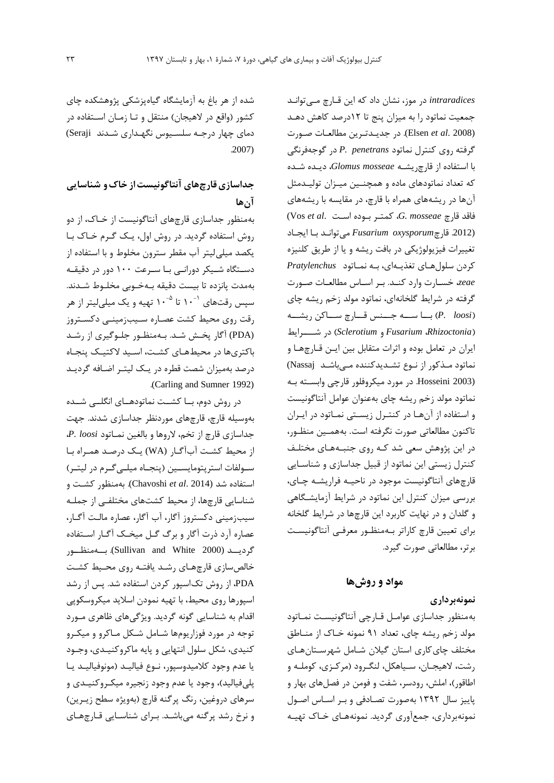intraradices در موز، نشان داد که این قـارچ مـی *ت*وانـد جمعیت نماتود را به میزان پنج تا ۱۲درصد کاهش دهـد (Elsen et al. 2008). در جدیـدتـرین مطالعـات صـورت گطفتِ ضٍی کٌتطل ًوبتَز *penetrans .P* زض گَجِفطً ی ثب اؾتفبزُ اظ قبضچضیكاِ *mosseae Glomus*، زیاسُ قاسُ که تعداد نماتودهای ماده و همچنین میـزان تولیـدمثل آنها در ریشههای همراه با قارچ، در مقایسه با ریشههای فبقس قبضچ *mosseae .G*، کوتاط ثاَز ُ اؾات .*al et* Vos( (.2012 قبضچ*oxysporum Fusarium* هیتَاًاس ثاب ایجابز تغییرات فیزیولوژیکی در بافت ریشه و یا از طریق کلنیزه کطزى ؾلَلّابی تغصیاِ ای، ثا ِ ًوابتَز *Pratylenchus zeae*، ذؿابضت ٍاضز کٌاس. ثاط اؾابؼ هطبلعابت ناَضت گرفته در شرایط گلخانهای، نماتود مولد زخم ریشه چای *(P. loosi)* با ســه جــنس قــا<sub>د</sub>چ ســاکن ریشــه قااااطایط زض( *Sclerotium* ٍ *Fusarium* ،*Rhizoctonia*( ایران در تعامل بوده و اثرات متقابل بین ایـن قـارچهـا و نماتود مـذکور از نـوع تشـدیدکننده مـیباشـد (Nassaj) (Hosseini 2003 در مورد میکروفلور قارچی وابسته بـه نماتود مولد زخم ریشه چای بهعنوان عوامل آنتاگونیست و استفاده از آنها در کنترل زیستی نماتود در ایران تاکنون مطالعاتی صورت نگرفته است. بههمـین منظـور، در این پژوهش سعی شد کـه روی جنبـههـای مختلـف کنترل زیستی این نماتود از قبیل جداسازی و شناسـایی قارچهای آنتاگونیست موجود در ناحیـه فراریشـه چـای، بررسی میزان کنترل این نماتود در شرایط آزمایشگاهی و گلدان و در نهایت کاربرد این قارچها در شرایط گلخانه برای تعیین قارچ کاراتر بـهمنظـور معرفـی آنتاگونیسـت برتر، مطالعاتی صورت گیرد.

### **مواد و روشها**

### **ومًوٍبرداری**

به منظور جداسازی عوامـل قـارچی آنتاگونیسـت نمـاتود مولد زخم ریشه چای، تعداد ۹۱ نمونه خباک از منباطق مختلف چای کاری استان گیلان شامل شهرستان های رشت، لاهیجـان، سـیاهکل، لنگـرود (مرکـزی، کوملـه و اطاقور)، املش، رودسر، شفت و فومن در فصلهای بهار و پاییز سال ۱۳۹۲ بهصورت تصادفی و بر اسـاس اصـول نمونهبرداری، جمعآوری گردید. نمونههـای خـاک تهیـه

شده از هر باغ به آزمایشگاه گیاهپزشکی پژوهشکده چای کشور (واقع در لاهیجان) منتقل و تـا زمـان اسـتفاده در دمای چهار درجـه سلسـیوس نگهـداری شـدند Seraji) .2007)

## **جذاسازیقارچَای آوتاگًویستازخاکي شىاسایی آنَا**

بِهمنظور جِداسازی قارچهای آنتاگونیست از خـاک، از دو روش استفاده گردید. در روش اول، یک گرم خاک با یکصد میلی لیتر آب مقطر سترون مخلوط و با استفاده از دستگاه شـیکر دورانـی بـا سـرعت ١٠٠ دور در دقیقـه بهمدت پانزده تا بیست دقیقه بـهخـوبی مخلـوط شـدند. سپس رقتهای <sup>۱</sup>۰<sup>۰ تا ۱۰<sup>۰۵</sup> تهیه و یک میلیلیتر از هر</sup> رقت روی محیط کشت عصاره سـیبزمینـی دکسـتروز (PDA) آگار پخش شد. بـهمنظـور جلـوگیری از رشـد باکتریها در محیطهـای کشـت، اسـید لاکتیـک پنجـاه درصد بهمیزان شصت قطره در یـک لیتـر اضـافه گردیـد .(Carling and Sumner 1992)

در روش دوم، بــا کشــت نماتودهــای انگلــی شــده بهوسیله قارچ، قارچهای موردنظر جداسازی شدند. جهت جساؾبظی قبضچ اظ ترن، الضٍّب ٍ ثبلغیي ًوابتَز *loosi .P*، از محیط کشت آب آگار (WA) یک درصد همراه با سولفات استرپتومایسیین (پنجـاه میلـیگـرم در لیتـر) استفاده شد (Chavoshi et al. 2014). بهمنظور کشت و شناسایی قارچها، از محیط کشتهای مختلفـی از جملـه سیب;مینی دکستروز آگار، آب آگار، عصاره مالت آگـار، عصاره آرد ذرت آگار و برگ گــل میخــک آگــار اســتفاده گردیسد (Sullivan and White 2000). بسهمنظسور خالص سازی قارچهـای رشـد یافتـه روی محـیط کشـت PDA، از روش تکاسپور کردن استفاده شد. پس از رشد اسپورها روی محیط، با تهیه نمودن اسلاید میکروسکوپی اقدام به شناسایی گونه گردید. ویژگیهای ظاهری مـورد توجه در مورد فوزاریومها شـامل شـکل مـاکرو و میکـرو کنیدی، شکل سلول انتهایی و پایه ماکروکنیـدی، وجـود یا عدم وجود کلامیدوسپور، نـوع فیالیـد (مونوفیالیـد یـا پلیفیالید)، وجود یا عدم وجود زنجیره میکروکنیـدی و سرهای دروغین، رنگ پرگنه قارچ (بهویژه سطح زیـرین) و نرخ رشد پر گنه میباشد. برای شناسایی قارچهای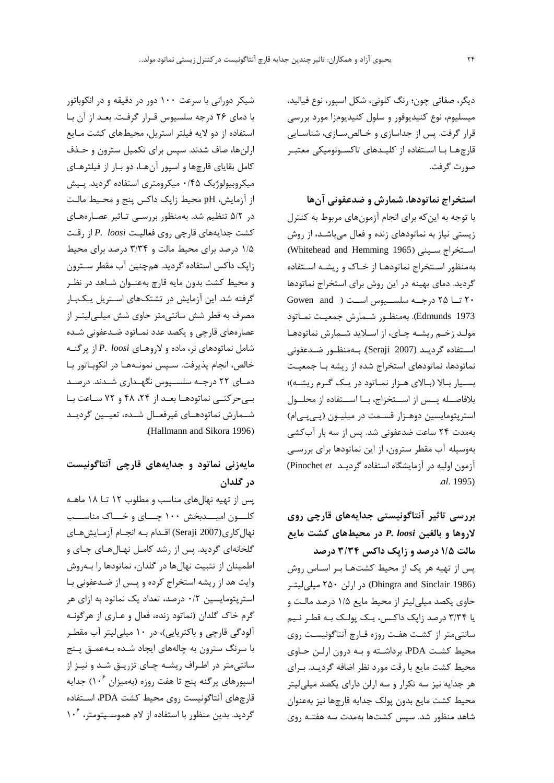دیگر، صفاتی چون؛ رنگ کلونی، شکل اسپور، نوع فیالید، میسلیوم، نوع کنیدیوفور و سلول کنیدیومزا مورد بررسی قرار گرفت. پس از جداسازی و خـالص سـازی، شناسـایی قارچهـا بـا اسـتفاده از کلیـدهای تاکسـونومیکی معتبـر صورت گرفت.

استخراج نماتودها، شمارش و ضدعفونی آن ها با توجه به اینِ که برای انجام آزمونِ های مربوط به کنترل زیستی نیاز به نماتودهای زنده و فعال میباشـد، از روش استخراج سيني (Whitehead and Hemming 1965) به منظور استخراج نماتودهـا از خـاک و ریشـه اسـتفاده گردید. دمای بهینه در این روش برای استخراج نماتودها  $12$  تا ۲۵ درجـه سلسـيوس اسـت ( Gowen and ) 1973 Edmunds). بەمنظـور شـمارش جمعیـت نمـاتود مولد زخم ریشه چای، از اسلاید شـمارش نماتودهـا اسـتفاده گردیـد (2007 Seraji). بـهمنظـور ضـدعفونی نماتودها، نماتودهای استخراج شده از ریشه بـا جمعیـت بسیار بالا (بالای هـزار نمـاتود در یـک گـرم ریشـه)؛ بلافاصـله پـس از اسـتخراج، بـا اسـتفاده از محلـول استرپتومایسین دوهـزار قسـمت در میلیـون (پـی پـی|م) بِهمدت ٢۴ ساعت ضدعفونی شد. پس از سه بار آبِ کشی بهوسیله آب مقطر سترون، از این نماتودها برای بررسی آزمون اولیه در آزمایشگاه استفاده گردیـد Pinochet et .*al*. 1995)

# **بررسی تاثیر آوتاگًویستی جذایٍَای قارچی ريی الريَا ي بالغیه** *loosi .P* **در محیطَای کشت مایع مالت 1/5 درصذ ي زاپک داکس 3/34 درصذ**

یس از تهیه هر یک از محیط کشتهـا بـر اسـاس روش )1986 Sinclair and Dhingra )زض اضلي 250 هیلیلیتاط حاوی یکصد میلی لیتر از محیط مایع ۱/۵ درصد مالت و یا ۳/۳۴ درصد زایک داکـس، یـک پولـک بـه قطـر نـیم سانتیمتر از کشت هفت روزه قـارچ آنتاگونیسـت روی محیط کشت PDA، برداشته و بـه درون ارلـن حـاوی محیط کشت مایع با رقت مورد نظر اضافه گردیـد. بـرای هر جدایه نیز سه تکرار و سه ارلن دارای یکصد میلی لیتر محیط کشت مایع بدون پولک جدایه قارچها نیز بهعنوان شاهد منظور شد. سپس کشتها بهمدت سه هفتـه روی

شیکر دورانی با سرعت ۱۰۰ دور در دقیقه و در انکوباتور با دمای ٢۶ درجِه سلسیوس قرار گرفت. بعد از آن با استفاده از دو لایه فیلتر استریل، محیطهای کشت مـایع ارلنها، صاف شدند. سپس برای تکمیل سترون و حـذف کامل بقایای قارچها و اسپور آنهـا، دو بـار از فیلترهـای هیکروبیولوژیک ۰/۴۵ میکرومتری استفاده گردید. پـیش از آزمایش، pH محیط زایک داکس پنج و محـیط مالـت در ۵/۲ تنظیم شد. بهمنظور بررسی تاثیر عصارههای کشت جدایههای قارچی روی فعالیت *P. loosi ا*ز رقت ١/۵ درصد برای محیط مالت و ٣/٣۴ درصد برای محیط زاپک داکس استفاده گردید. همچنین آب مقطر سـترون و محیط کشت بدون مایه قارچ بهعنـوان شـاهد در نظـر گرفته شد. این آزمایش در تشتکهای اسـتریل یـکبـار مصرف به قطر شش سانتی متر حاوی شش میلـی لیتـر از عصار مهای قارچی و یکصد عدد نمـاتود ضـدعفونی شـده شامل نماتودهای نر، ماده و لاروهـای *P. loosi إ*ز پرگنـه خالص، انجام پذیرفت. سـیس نمونـههـا در انکوبـاتور بـا دمـای ۲۲ درجـه سلسـیوس نگهـداری شـدند. درصـد بیحرکتے نماتودها بعد از ٢۴، ۴٨ و ٧٢ ساعت با شـمارش نماتودهـای غیرفعـال شـده، تعیـین گردیـد .(Hallmann and Sikora 1996)

# مایهزنی نماتود و جدایههای قارچی آنتاگونیست **در گلذان**

پس از تهیه نهالهای مناسب و مطلوب ١٢ تـا ١٨ ماهـه کلسون امیسدبخش ۱۰۰ چسای و خساک مناسسب نهال کاری(2007 Seraji) اقـدام بـه انجـام آزمـايشهـاي گلخانهای گردید. پس از رشد کامـل نهـالهـای چـای و اطمینان از تثبیت نهالها در گلدان، نماتودها را بـهروش وایت هد از ریشه استخراج کرده و پس از ضدعفونی با استرپتومایسین ۰/۲ درصد، تعداد یک نماتود به ازای هر گرم خاک گلدان (نماتود زنده، فعال و عـاری از هرگونـه آلودگی قارچی و باکتریایی)، در ۱۰ میلیلیتر آب مقطـر با سرنگ سترون به چالههای ایجاد شـده بـهعمـق پـنج سانتیمتر در اطـراف ریشـه چـای تزریـق شـد و نیـز از اسپورهای پرگنه پنج تا هفت روزه (بهمیزان ۱۰<sup>۶</sup>) جدایه قارچهای آنتاگونیست روی محیط کشت PDA، استفاده گردید. بدین منظور با استفاده از لام هموســیتومتر، ۱۰<sup>۶</sup>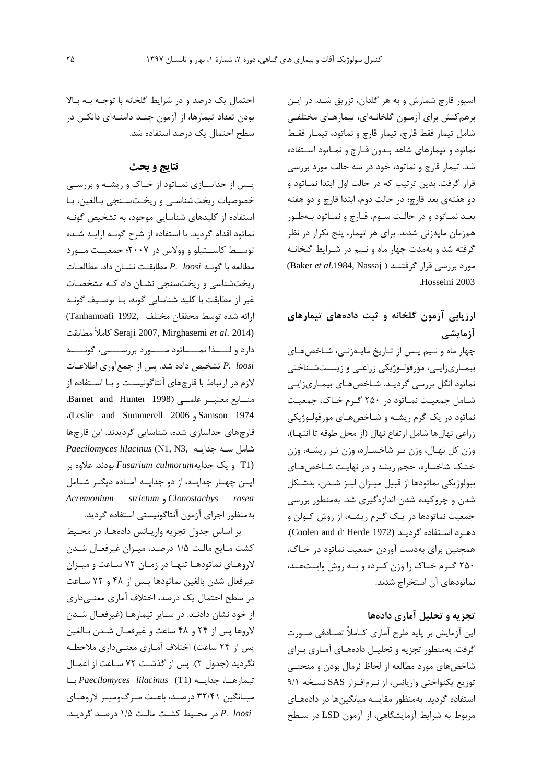اسپور قارچ شمارش و به هر گلدان، تزریق شـد. در ایــن برهم کنش برای آزمـون گلخانـهای، تیمارهـای مختلفـی شامل تیمار فقط قارچ، تیمار قارچ و نماتود، تیمـار فقـط نماتود و تیمارهای شاهد بـدون قـارچ و نمـاتود اسـتفاده شد. تیمار قارچ و نماتود، خود در سه حالت مورد بررسی قرار گرفت. بدين ترتيب که در حالت اول ابتدا نمـاتود و دو هفتهی بعد قا<sub>ر</sub>چ؛ در حالت دوم، ابتدا قا<sub>ر</sub>چ و دو هفته بعـد نمـاتود و در حالـت سـوم، قـارچ و نمـاتود بـهطـور همزمان مایهزنی شدند. برای هر تیمار، پنج تکرار در نظر گرفته شد و بهمدت چهار ماه و نیم در شـرایط گلخانـه هَضز ثطضؾی قطاض گطفتٌاس ) Nassaj .1984,*al et* Baker( .Hosseini 2003

## ارزیابی آزمون گلخانه و ثبت دادههای تیمارهای **آزمایشی**

چهار ماه و نیپم پس از تاریخ مایـهزنـی، شـاخصهای بیمـاریزایـی، مورفولـوژیکی زراعـی و زیسـتشـناختی نماتود انگل بررسی گردیـد. شـاخصهـای بیمـاریزایـی شامل جمعیت نمـاتود در ۲۵۰ گـرم خـاک، جمعیـت نماتود در یک گرم ریشـه و شـاخصهـای مورفولـوژیکی زراعی نهال ها شامل ارتفاع نهال (از محل طوقه تا انتهـا)، وزن کل نهـال، وزن تـر شاخسـاره، وزن تـر ریشـه، وزن خشک شاخساره، حجم ریشه و در نهایـت شـاخصهـای بیولوژیکی نماتودها از قبیل میـزان لیـز شـدن، بدشـکل شدن و چروکیده شدن اندازهگیری شد. بهمنظور بررسی جمعیت نماتودها در یـک گـرم ریشــه، از روش کـولن و دهرد استفاده گردیـد (Coolen and d' Herde 1972). همچنین برای بهدست آوردن جمعیت نماتود در خـاک، ۲۵۰ گیرم خیاک را وزن کیرده و بیه روش واییت هید، نماتودهای آن استخراج شدند.

### تجزیه و تحلیل آماری دادهها

این آزمایش بر پایه طرح آماری کـاملاً تصـادفی صـورت گرفت. بهمنظور تجزیه و تحلیـل دادههـای آمـاری بـرای شاخص های مورد مطالعه از لحاظ نرمال بودن و منحنبی توزیع یکنواختی واریانس، از نـرمافـزار SAS نسـخه ۹/۱ استفاده گردید. به منظور مقایسه میانگینِ ها در دادههای مربوط به شرایط آزمایشگاهی، از آزمون LSD در سطح

احتمال یک درصد و در شرایط گلخانه با توجـه بـه بـالا بودن تعداد تیمارها، از آزمون چنـد دامنــهاى دانكــن در سطح احتمال یک درصد استفاده شد.

### **نتایج و بحث**

پس از جداسـازی نمـاتود از خـاک و ریشـه و بررسـی خصوصیات ریختشناسی و ریختسنجی بالغین، با استفاده از کلیدهای شناسایی موجود، به تشخیص گونـه نماتود اقدام گردید. با استفاده از شرح گونـه ارایـه شـده توسـط کاسـتیلو و وولاس در ۲۰۰۷؛ جمعیــت مــورد هطبلعِ ثب گًَاِ *loosi .P* هطبثقات ًكابى زاز. هطبلعابت ریختشناسی و ریختسنجی نشـان داد کـه مشخصـات غیر از مطابقت با کلید شناسایی گونه، بـا توصـیف گونــه ارائه شده توسط محققان مختلف ,Tanhamoafi 1992) هطبثقت کبهال Seraji 2007, Mirghasemi *et al*. 2014) دارد و لــــذا نمـــــاتود مـــــورد بررســــــى، گونـــــه *loosi .P* تكریم زازُ قس. پؽ اظ جوعآٍضی اطالعابت لازم در ارتباط با قارچهای آنتاگونیست و بـا اسـتفاده از هنابع معتبـر علمــی (Barnet and Hunter 1998، ،)Leslie and Summerell 2006 ٍ Samson 1974 قارچهای جداسازی شده، شناسایی گردیدند. این قارچها *Paecilomyces lilacinus* (N1, N3, ِجسایا ِؾا قبهل (1T ٍ یص جسایِ*culmorum Fusarium* ثَزًس. عالٍُ ثط ایـن چهـار جدایـه، از دو جدایـه آمـاده دیگـر شـامل *Acremonium strictum* ٍ *Clonostachys rosea* بِهمنظور اجرای آزمون آنتاگونیستی استفاده گردید.

بر اساس جدول تجزیه واریانس دادهها، در محیط کشت مـایع مالـت ۱/۵ درصـد، میـزان غیرفعـال شـدن لاروهـاى نماتودهـا تنهـا در زمـان ٧٢ سـاعت و ميـزان غیرفعال شدن بالغین نماتودها پس از ۴۸ و ۷۲ سـاعت در سطح احتمال یک درصد، اختلاف آماری معنے داری از خود نشان دادنـد. در سـایر تیمارهـا (غیرفعـال شـدن لاروها پس از ٢۴ و ۴۸ ساعت و غیرفعـال شـدن بـالغین پس از ٢۴ ساعت) اختلاف آمـاری معنـیداری ملاحظـه نگردید (جدول ۲). پس از گذشت ۷۲ سـاعت از اعمـال تیوبضّااب، جسایااِ (1T(*lilacinus Paecilomyces* ثااب میـانگین ۳۲/۴۱ درصـد، باعـث مـرگ6میـر لاروهـای *loosi .P* زض هحایط کكات هبلات 1/5 زضناس گطزیاس.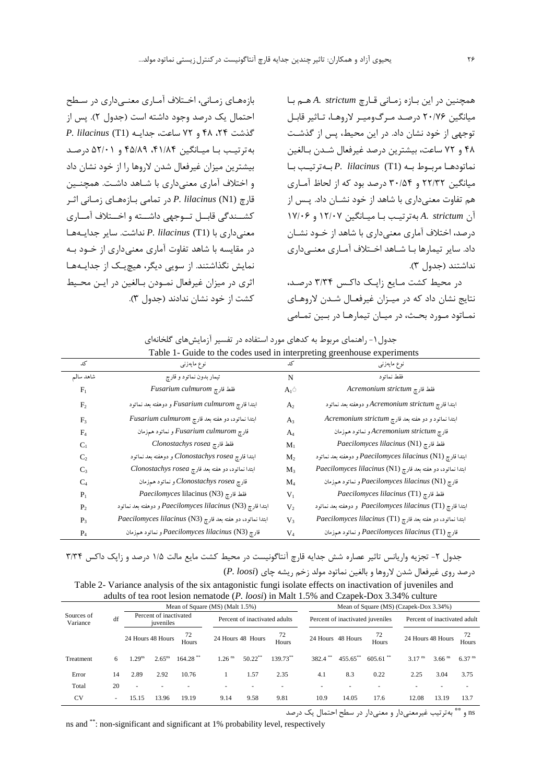ّوچٌیي زض ایي ثابظُ ظهابًی قابضچ *strictum .A* ّان ثاب میانگین ۲۰/۷۶ درصد مـرگ1ومیـر لاروهـا، تـاثیر قابـل توجهی از خود نشان داد. در این محیط، پس از گذشت ۴۸ و ۷۲ ساعت، بیشترین درصد غیرفعال شـدن بـالغین ًوبتَزّاب هطثاَ ثاِ (1T(*lilacinus .P* ثاِتطتیات ثاب میانگین ۲۲/۳۲ و ۳۰/۵۴ درصد بود که از لحاظ آمـاری هم تفاوت معنی داری با شاهد از خود نشــان داد. پــس از آى *strictum .A* ثِتطتیات ثاب هیابً یي 12/07 ٍ 17/06 درصد، اختلاف آماری معنی،داری با شاهد از خــود نشــان داد. سایر تیمارها بـا شـاهد اخـتلاف آمـاری معنـی داری نداشتند (جدول ٣).

در محیط کشت مـایع زایـک داکـس ۳/۳۴ درصـد، نتایج نشان داد که در میـزان غیرفعـال شـدن لاروهـای نمـاتود مـورد بحـث، در میـان تیمارهـا در بـین تمـامی

بازههـای زمـانی، اخـتلاف آمـاری معنـیداری در سـطح احتمال یک درصد وجود داشته است (جدول ۲). پس از گصقت ،24 48 ٍ 72 ؾبعت، جسایاِ (1T(*lilacinus .P* به ترتیب با میانگین ۴۱/۸۴، ۴۵/۸۹ و ۵۲/۰۱ درصد بیشترین میزان غیرفعال شدن لاروها را از خود نشان داد و اختلاف آماری معنیداری با شـاهد داشـت. همچنـين قا<sub>ر</sub>چ (1N) *P. lilacinus* در تمامی بـازەھـای زمـانی اثـر کشــندگی قابــل تــوجهی داشــته و اخــتلاف آمــاری هعٌیزاضی ثب (1T(*lilacinus .P* ًساقت. ؾبیط جسایاِ ّاب در مقایسه با شاهد تفاوت آماری معنی داری از خبود بیه نمایش نگذاشتند. از سویی دیگر، هیچیک از جدایـههـا اثری در میزان غیرفعال نمـودن بـالغین در ایـن محـیط كشت از خود نشان ندادند (جدول ٣).

|  |  | جدول۱- راهنمای مربوط به کدهای مورد استفاده در تفسیر ازمایشهای گلخانهای |  |
|--|--|------------------------------------------------------------------------|--|
|  |  | Table 1. Guide to the codes used in interpreting greenhouse experiment |  |

|                | Table 1- Guide to the codes used in interpreting greenhouse experiments |                |                                                             |  |  |  |  |  |  |  |  |
|----------------|-------------------------------------------------------------------------|----------------|-------------------------------------------------------------|--|--|--|--|--|--|--|--|
| کد             | نوع مايەزنىي                                                            | کد             | نوع مايەزنى                                                 |  |  |  |  |  |  |  |  |
| شاهد سالم      | تيمار بدون نماتود و قارچ                                                | N              | فقط نماتود                                                  |  |  |  |  |  |  |  |  |
| $F_1$          | Fusarium culmurom فقط قارج                                              | $A_1$ ó        | Acremonium strictum فقط قار چ                               |  |  |  |  |  |  |  |  |
| F <sub>2</sub> | ابتدا قارچ Fusarium culmurom و دوهفته بعد نماتود                        | A <sub>2</sub> | ابتدا قارچ Acremonium strictum و دوهفته بعد نماتود          |  |  |  |  |  |  |  |  |
| F <sub>3</sub> | ابتدا نماتود، دو هفته بعد قارچ Fusarium culmurom                        | A <sub>3</sub> | ابتدا نماتود و دو هفته بعد قارچ Acremonium strictum         |  |  |  |  |  |  |  |  |
| $F_4$          | قارچ Fusarium culmurom و نماتود همزمان                                  | $A_4$          | قارچ Acremonium strictum و نماتود همزمان                    |  |  |  |  |  |  |  |  |
| $C_1$          | Elonostachys rosea فقط قارچ                                             | $M_{\perp}$    | Paecilomyces lilacinus (N1) فقط قارج                        |  |  |  |  |  |  |  |  |
| $C_{2}$        | ابتدا قارچ Clonostachys rosea و دوهفته بعد نماتود                       | M <sub>2</sub> | ابتدا قارچ (Paecilomyces lilacinus (N1) و دوهفته بعد نماتود |  |  |  |  |  |  |  |  |
| C <sub>3</sub> | ابتدا نماتود، دو هفته بعد قارچ Clonostachys rosea                       | $M_{3}$        | Paecilomyces lilacinus (N1) ابتدا نماتود، دو هفته بعد قارچ  |  |  |  |  |  |  |  |  |
| $C_4$          | قارچ Clonostachys rosea و نماتود همزمان                                 | $M_4$          | قارچ (N1) Paecilomyces lilacinus و نماتود همزمان            |  |  |  |  |  |  |  |  |
| $P_1$          | <i>Paecilomyces</i> lilacinus (N3) فقط قارج                             | $V_1$          | Paecilomyces lilacinus (T1) فقط قارج                        |  |  |  |  |  |  |  |  |
| P <sub>2</sub> | ابتدا قارچ (N3) Paecilomyces lilacinus و دوهفته بعد نماتود              | V <sub>2</sub> | ابتدا قارچ Paecilomyces lilacinus (T1) و دوهفته بعد نماتود  |  |  |  |  |  |  |  |  |
| $P_3$          | ابتدا نماتود، دو هفته بعد قارچ (N3) Paecilomyces lilacinus              | V <sub>3</sub> | Paecilomyces lilacinus (T1) ابتدا نماتود، دو هفته بعد قارچ  |  |  |  |  |  |  |  |  |
| $P_4$          | قارچ (N3) Paecilomyces lilacinus و نماتود همزمان                        | $V_4$          | قارچ (T1) Paecilomyces lilacinus و نماتود همزمان            |  |  |  |  |  |  |  |  |

جدول ۲- تجزیه واریانس تاثیر عصاره شش جدایه قارچ آنتاگونیست در محیط کشت مایع مالت ۱/۵ درصد و زایک داکس ۳/۳۴ زضنس ضٍی غیطفعبل قسى الضٍّب ٍ ثبلغیي ًوبتَز هَلس ظذن ضیكِ چبی (*loosi .P*(

| Table 2- Variance analysis of the six antagonistic fungi isolate effects on inactivation of juveniles and |  |
|-----------------------------------------------------------------------------------------------------------|--|
| adults of tea root lesson nematode (P. loosi) in Malt 1.5% and Czapek-Dox 3.34% culture                   |  |

|                        |        | Mean of Square (MS) (Malt 1.5%)     |                    |                               |                      |                   |             | Mean of Square (MS) (Czapek-Dox 3.34%) |                                  |              |                              |                      |                      |  |
|------------------------|--------|-------------------------------------|--------------------|-------------------------------|----------------------|-------------------|-------------|----------------------------------------|----------------------------------|--------------|------------------------------|----------------------|----------------------|--|
| Sources of<br>Variance | df     | Percent of inactivated<br>iuveniles |                    | Percent of inactivated adults |                      |                   |             |                                        | Percent of inactivated juveniles |              | Percent of inactivated adult |                      |                      |  |
|                        |        | 24 Hours 48 Hours                   |                    | 72<br>Hours                   |                      | 24 Hours 48 Hours | 72<br>Hours | 24 Hours 48 Hours                      |                                  | -72<br>Hours | 24 Hours 48 Hours            |                      | 72<br>Hours          |  |
| Treatment              | 6      | .29 <sup>ns</sup>                   | $2.65^{\text{ns}}$ | $164.28$ <sup>**</sup>        | $1.26$ <sup>ns</sup> | $50.22$ **        | $139.73***$ | 382.4**                                | $455.65$ <sup>**</sup>           | $605.61$ **  | 3.17 <sup>ns</sup>           | $3.66$ <sup>ns</sup> | $6.37$ <sup>ns</sup> |  |
| Error                  | 14     | 2.89                                | 2.92               | 10.76                         |                      | 1.57              | 2.35        | 4.1                                    | 8.3                              | 0.22         | 2.25                         | 3.04                 | 3.75                 |  |
| Total                  | 20     | $\sim$                              |                    |                               |                      |                   |             |                                        |                                  |              |                              |                      |                      |  |
| <b>CV</b>              | $\sim$ | 15.15                               | 13.96              | 19.19                         | 9.14                 | 9.58              | 9.81        | 10.9                                   | 14.05                            | 17.6         | 12.08                        | 13.19                | 13.7                 |  |

ns و \*\* بهترتیب غیرمعنیدار و معنیدار در سطح احتمال یک درصد

ns and \*\*: non-significant and significant at 1% probability level, respectively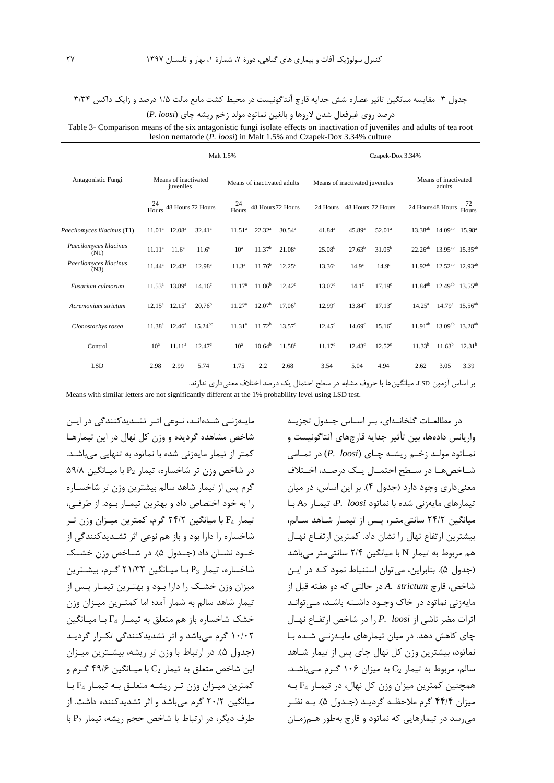### جدول ۳- مقایسه میانگین تاثیر عصاره شش جدایه قارچ آنتاگونیست در محیط کشت مایع مالت ۱/۵ درصد و زایک داکس ۳/۳۴ زضنس ضٍی غیطفعبل قسى الضٍّب ٍ ثبلغیي ًوبتَز هَلس ظذن ضیكِ چبی (*loosi .P*(

Table 3- Comparison means of the six antagonistic fungi isolate effects on inactivation of juveniles and adults of tea root lesion nematode (*P. loosi*) in Malt 1.5% and Czapek-Dox 3.34% culture

|                                | Malt 1.5%                         |                 |                   |                             |                    |                    | Czapek-Dox 3.34%               |                    |                                |                   |                                                             |                    |  |
|--------------------------------|-----------------------------------|-----------------|-------------------|-----------------------------|--------------------|--------------------|--------------------------------|--------------------|--------------------------------|-------------------|-------------------------------------------------------------|--------------------|--|
| Antagonistic Fungi             | Means of inactivated<br>juveniles |                 |                   | Means of inactivated adults |                    |                    | Means of inactivated juveniles |                    | Means of inactivated<br>adults |                   |                                                             |                    |  |
|                                | 24<br>Hours                       |                 | 48 Hours 72 Hours | 24<br>Hours                 |                    | 48 Hours 72 Hours  | 24 Hours                       | 48 Hours 72 Hours  |                                | 24 Hours 48 Hours |                                                             | 72<br>Hours        |  |
| Paecilomyces lilacinus (T1)    | $11.01^a$                         | $12.08^{\rm a}$ | $32.41^a$         | $11.51^{\circ}$             | $22.32^a$          | $30.54^{\circ}$    | $41.84^{a}$                    | $45.89^{a}$        | $52.01^a$                      |                   | $13.38^{ab}$ 14.09 <sup>ab</sup>                            | $15.98^{a}$        |  |
| Paecilomyces lilacinus<br>(N1) | $11.11^a$ $11.6^a$                |                 | 11.6 <sup>c</sup> | 10 <sup>a</sup>             | 11.37 <sup>b</sup> | $21.08^{\circ}$    | $25.08^{b}$                    | $27.63^b$          | $31.05^{\rm b}$                |                   | 22.26 <sup>ab</sup> 13.95 <sup>ab</sup> 15.35 <sup>ab</sup> |                    |  |
| Paecilomyces lilacinus<br>(N3) | $11.44^a$                         | $12.43^{\circ}$ | $12.98^{\circ}$   | 11.3 <sup>a</sup>           | $11.76^b$          | $12.25^{\circ}$    | 13.36 <sup>c</sup>             | $14.9^\circ$       | $14.9^\circ$                   |                   | $11.92^{ab}$ $12.52^{ab}$ $12.93^{ab}$                      |                    |  |
| Fusarium culmorum              | $11.53^a$ 13.89 <sup>a</sup>      |                 | $14.16^c$         | $11.17^{\rm a}$             | $11.86^b$          | $12.42^{\circ}$    | 13.07 <sup>c</sup>             | $14.1^\circ$       | 17.19 <sup>c</sup>             |                   | $11.84^{ab}$ 12.49 <sup>ab</sup> 13.55 <sup>ab</sup>        |                    |  |
| Acremonium strictum            | $12.15^a$ 12.15 <sup>a</sup>      |                 | $20.76^{\rm b}$   | $11.27^{\rm a}$             | 12.07 <sup>b</sup> | 17.06 <sup>b</sup> | 12.99 <sup>c</sup>             | 13.84 <sup>c</sup> | $17.13^{\circ}$                | $14.25^{\circ}$   | $14.79^a$ 15.56 <sup>ab</sup>                               |                    |  |
| Clonostachys rosea             | $11.38^a$ $12.46^a$               |                 | $15.24^{bc}$      | 11.31 <sup>a</sup>          | $11.72^b$          | $13.57^{\circ}$    | $12.45^{\circ}$                | 14.69 <sup>c</sup> | 15.16 <sup>c</sup>             |                   | $11.91^{ab}$ $13.09^{ab}$ $13.28^{ab}$                      |                    |  |
| Control                        | 10 <sup>a</sup>                   | $11.11^a$       | $12.47^{\circ}$   | 10 <sup>a</sup>             | $10.64^{\rm b}$    | $11.58^c$          | $11.17^c$                      | $12.43^{\circ}$    | $12.52^{\circ}$                | $11.33^{b}$       | $11.63^b$                                                   | 12.31 <sup>b</sup> |  |
| <b>LSD</b>                     | 2.98                              | 2.99            | 5.74              | 1.75                        | 2.2                | 2.68               | 3.54                           | 5.04               | 4.94                           | 2.62              | 3.05                                                        | 3.39               |  |

بر اساس آزمون LSD، میانگینها با حروف مشابه در سطح احتمال یک درصد اختلاف معنی داری ندارند.

Means with similar letters are not significantly different at the 1% probability level using LSD test.

مایـهزنـی شـدهانـد، نـوعی اثـر تشـدیدکنندگی در ایـن شاخص مشاهده گردیده و وزن کل نهال در این تیمارهـا کمتر از تیمار مایهزنی شده با نماتود به تنهایی میباشـد.  $\alpha$ ز شاخص وزن تر شاخساره، تیمار  $P_2$  با میـانگین ۵۹/۸ گرم پس از تیمار شاهد سالم بیشترین وزن تر شاخسـاره را به خود اختصاص داد و بهترین تیمـار بـود. از طرفـی، تیمار F4 با میانگین ۲۴/۲ گرم، کمترین میـزان وزن تـر شاخساره را دارا بود و باز هم نوعی اثر تشـدیدکنندگی از خـود نشـان داد (جـدول ۵). در شـاخص وزن خشـك شاخساره، تیمار  $P_3$  بـا میـانگین ۲۱/۳۳ گـرم، بیشـترین میزان وزن خشـک را دارا بـود و بهتـرین تیمـار پـس از تیمار شاهد سالم به شمار آمد؛ اما کمتـرین میـزان وزن خشک شاخساره باز هم متعلق به تیمـار  $F_4$  بـا میـانگین ۱۰/۰۲ گرم می باشد و اثر تشدیدکنندگی تکار گردید (جدول ۵). در ارتباط با وزن تر ریشه، بیشترین میزان این شاخص متعلق به تیمار  $\rm C_2$  با میـانگین ۴۹/۶ گـرم و کمترین میـزان وزن تـر ریشـه متعلـق بـه تیمـار  $F_4$  بـا میانگین ۲۰/۲ گرم می باشد و اثر تشدیدکننده داشت. از طرف دیگر، در ارتباط با شاخص حجم ریشه، تیمار  $P_2$  با

در مطالعــات گلخانــهای، بــر اســاس جــدول تجزیــه واریانس دادهها، بین تأثیر جدایه قارچهای آنتاگونیست و ًوابتَز هَلاس ظذان ضیكاِ چابی (*loosi .P* (زض توابهی شـاخص هـا در سـطح احتمـال یـک درصـد، اخـتلاف معنی داری وجود دارد (جدول ۴). بر این اساس، در میان تیمارهای مایه<sub>ز</sub>نی شده با نماتود *P. loosi، تیمـا<sub>د</sub>* A<sub>2</sub> بـا میانگین ۲۴/۲ سانتی متـر، پـس از تیمـار شـاهد سـالم، بیشترین ارتفاع نهال را نشان داد. کمترین ارتفـاع نهـال هم مربوط به تیمار N با میانگین ۲/۴ سانتی متر میباشد (جدول ۵). بنابراین، می توان استنباط نمود کـه در ایـن شاخص، قا<sub>ر</sub>چ *A. strictum د*ر حالتی که دو هفته قبل از مایهزنی نماتود در خاک وجِبود داشـته باشـد، مـی توانـد اثرات مضر ناشی از *P. loosi .*<br>اثرات مضر ناشی از *P. loosi* با در شاخص ارتفـاع نهـال چای کاهش دهد. در میان تیمارهای مایـه;نـی شـده بـا نماتود، بیشترین وزن کل نهال چای پس از تیمار شـاهد سالم، مربوط به تیمار  $\rm C_2$  به میزان ۱۰۶ گـرم مـی باشـد. همچنین کمترین میزان وزن کل نهال، در تیمـار  $F_4$  بـه میزان ۴۴/۴ گرم ملاحظـه گردیـد (جـدول ۵). بــه نظـر می رسد در تیمارهایی که نماتود و قارچ بهطور هــمزمـان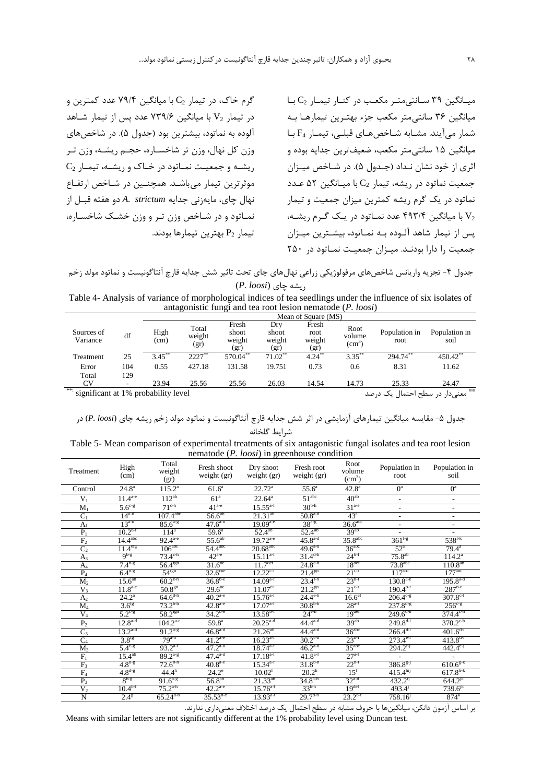گرم خاک، در تیمار  $\rm C_{2}$  با میانگین ۷۹/۴ عدد کمترین و در تیمار  $V_2$  با میانگین ۷۳۹/۶ عدد پس از تیمار شاهد آلوده به نماتود، بیشترین بود (جدول ۵). در شاخص های وزن کل نهال، وزن تر شاخسـاره، حجـم ریشـه، وزن تـر  $C_2$  ریشـه و جمعیـت نمـاتود در خـاک و ریشـه، تیمـار موثرترین تیمار میباشد. همچنـین در شـاخص ارتفـاع نِهال چای، مایهزن*ی* جدایه A. *strictum .*<br>ن نمـاتود و در شـاخص وزن تـر و وزن خشـک شاخسـاره، تیمار  $P_2$  بهترین تیمارها بودند.

هیانگین ۳۹ سانتی متر مکعب در کنار تیمار C<sub>2</sub> با میانگین ۳۶ سانتی متر مکعب جزء بهتـرین تیمارهـا بـه شمار می آیند. مشـابه شـاخص هـای قبلـی، تیمـار  $F_4$  بـا <sub>میانگین</sub> ۱۵ سانتی متر مکعب، ضعیفترین جدایه بوده و اثری از خود نشان نـداد (جـدول ۵). در شـاخص میـزان جمعیت نماتود در ریشه، تیمار  $\rm C_2$  با میـانگین ۵۲ عـدد نماتود در یک گرم ریشه کمترین میزان جمعیت و تیمار با میانگین ۴۹۳/۴ عدد نمـاتود در یـک گـرم ریشـه،  $\rm V_{2}$ یس از تیمار شاهد آلـوده بـه نمـاتود، بیشـترین میـزان جمعیت را دارا بودنـد. میـزان جمعیـت نمـاتود در ۲۵۰

جدول ۴- تجزیه واریانس شاخص های مرفولوژیکی زراعی نهال۱های چای تحت تاثیر شش جدایه قارچ آنتاگونیست و نماتود مولد زخم ضیكِ چبی (*loosi .P*(

Table 4- Analysis of variance of morphological indices of tea seedlings under the influence of six isolates of antagonistic fungi and tea root lesion nematode (*P. loosi*)

|                                         |                          |              | Mean of Square (MS)     |                                  |                                |                                 |                                   |                               |                       |  |
|-----------------------------------------|--------------------------|--------------|-------------------------|----------------------------------|--------------------------------|---------------------------------|-----------------------------------|-------------------------------|-----------------------|--|
| Sources of<br>Variance                  | df                       | High<br>(cm) | Total<br>weight<br>(gr) | Fresh<br>shoot<br>weight<br>(gr) | Dry<br>shoot<br>weight<br>(gr) | Fresh<br>root<br>weight<br>(gr) | Root<br>volume<br>$\text{(cm}^3)$ | Population in<br>root         | Population in<br>soil |  |
| Treatment                               | 25                       | $3.45$ **    | $2227$ **               | 570.04**                         | $71.02***$                     | $4.24$ <sup>**</sup>            | $3.35***$                         | 294.74**                      | 450.42**              |  |
| Error                                   | 104                      | 0.55         | 427.18                  | 131.58                           | 19.751                         | 0.73                            | 0.6                               | 8.31                          | 11.62                 |  |
| Total                                   | 129                      |              |                         |                                  |                                |                                 |                                   |                               |                       |  |
| CV                                      | $\overline{\phantom{a}}$ | 23.94        | 25.56                   | 25.56                            | 26.03                          | 14.54                           | 14.73                             | 25.33                         | 24.47                 |  |
| **: significant at 1% probability level |                          |              |                         |                                  |                                |                                 |                                   | معنیدار در سطح احتمال یک درصد | 参卷                    |  |

جدول ۵- مقایسه میانگین تیمارهای آزمایشی در اثر شش جدایه قارچ آنتاگونیست و نماتود مولد زخم ریشه چای (*P. loosi )* در شرایط گلخانه

Table 5- Mean comparison of experimental treatments of six antagonistic fungal isolates and tea root lesion nematode (*P. loosi*) in greenhouse condition

| Treatment                 | High<br>(cm)               | Total<br>weight<br>(gr)     | Fresh shoot<br>weight (gr) | Dry shoot<br>weight (gr)  | Fresh root<br>weight (gr) | Root<br>volume<br>(cm <sup>3</sup> ) | Population in<br>root    | Population in<br>soil        |
|---------------------------|----------------------------|-----------------------------|----------------------------|---------------------------|---------------------------|--------------------------------------|--------------------------|------------------------------|
| Control                   | $24.8^{\circ}$             | $115.2^a$                   | $61.6^{\circ}$             | $22.72^{\rm a}$           | $55.6^{\circ}$            | $42.8^{\circ}$                       | $0^a$                    | $0^a$                        |
| $V_1$                     | $11.4^{a-e}$               | $112^{ab}$                  | 61 <sup>a</sup>            | $22.64^{\circ}$           | 51 <sup>abc</sup>         | $40^{ab}$                            | $\overline{\phantom{a}}$ | $\overline{\phantom{a}}$     |
| $M_1$                     | $5.6^{\circ}$ <sup>8</sup> | $71^{c-h}$                  | $41^{a-e}$                 | $15.55^{a}$ <sup>+1</sup> | $30b-h$                   | $31^{a-e}$                           |                          |                              |
| $\overline{\mathrm{C}}_1$ | $14^{a-d}$                 | $107.4$ <sup>abc</sup>      | $56.6^{ab}$                | $21.31^{ab}$              | $50.8^{a-d}$              | $43^{\circ}$                         | $\overline{\phantom{a}}$ |                              |
| A <sub>1</sub>            | $13^{a-d}$                 | $85.6^{a-g}$                | $47.6^{a-d}$               | $19.09^{a-e}$             | $38a-g$                   | 36.6 <sup>abc</sup>                  |                          |                              |
| $\overline{P_1}$          | $10.2^{b-1}$               | 114 <sup>a</sup>            | $59.6^{\circ}$             | $52.4^{ab}$               | $52.4^{ab}$               | 39 <sup>ab</sup>                     |                          |                              |
| $\overline{F_2}$          | $14.4^{\text{abc}}$        | $92.4^{a-e}$                | 55.6 <sup>ab</sup>         | $19.72^{a-e}$             | $45.8^{\text{a-d}}$       | 35.8 <sup>abc</sup>                  | $361^{1-g}$              | $538^{\text{1-k}}$           |
| C,                        | 11.4 <sup>erg</sup>        | $106^{\text{abc}}$          | $54.4$ <sup>abc</sup>      | $20.68$ <sup>abc</sup>    | $49.\overline{6}^{a-d}$   | 36 <sup>abc</sup>                    | $52^{\circ}$             | $79.4^{\rm a}$               |
| $A_3$                     | $q_{p-8}$                  | $73.4^{\circ}$ <sup>n</sup> | $42^{\text{a-e}}$          | $15.11^{a}$               | $31.4^{d-n}$              | $24^{b-1}$                           | $75.8^{ab}$              | $114.2^{\circ}$              |
| $A_4$                     | $7.4^{b-g}$                | $56.4^{1gh}$                | 31.6 <sup>de</sup>         | 11.7 <sup>det</sup>       | $24.8^{\text{e-h}}$       | 18 <sup>det</sup>                    | 73.8 <sup>abc</sup>      | $110.8^{ab}$                 |
| $P_4$                     | $6.4^{p-g}$                | 54 <sup>tgh</sup>           | 32.6 <sup>cde</sup>        | $12.22^{c-t}$             | $21.4^{gh}$               | $21^{c-1}$                           | $117^{a-d}$              | $177^{\text{abc}}$           |
| M <sub>2</sub>            | $15.6^{ab}$                | $60.2^{e-h}$                | $36.8^{b-e}$               | $14.09a-t$                | $23.4^{t-h}$              | $23^{b-1}$                           | $130.8^{a-e}$            | $195.8^{a-d}$                |
| $V_3$                     | $11.8^{a-e}$               | 50.8 <sup>gh</sup>          | 29.6 <sup>de</sup>         | 11.07 <sup>et</sup>       | $21.2^{gh}$               | $21^{c-1}$                           | $190.4^{b-1}$            | $287^{b-e}$                  |
| A <sub>2</sub>            | $24.2^{\circ}$             | $64.6^{d-h}$                | $40.2^{a-e}$               | $15.76^{\text{a-t}}$      | $24.4^{e-h}$              | 16.6 <sup>et</sup>                   | $206.4^{\circ}$          | $307.8^{\circ}$ <sup>t</sup> |
| $M_4$                     | $3.6^{18}$                 | $73.2^{b-h}$                | $42.8^{a-e}$               | $17.07^{a}$ <sup>+1</sup> | $30.8^{b-h}$              | $28^{a-t}$                           | $237.8^{d-g}$            | $256^{c-g}$                  |
| $V_4$                     | $5.2^{\text{c-g}}$         | $58.2^{1gh}$                | $34.2^{\rm b-e}$           | $13.58^{b-1}$             | $24^{\text{e-h}}$         | 19 <sup>det</sup>                    | $249.6^{d-h}$            | $374.4^{\circ-h}$            |
| P <sub>2</sub>            | $12.8^{a-d}$               | $104.2^{a-e}$               | $59.8^{\rm a}$             | $20.25^{a-d}$             | $44.4^{a-d}$              | 39 <sup>ab</sup>                     | $249.8^{d-i}$            | $370.2^{\overline{c-h}}$     |
| $C_3$                     | $13.2^{a-d}$               | $91.2^{a-g}$                | $46.8^{\text{a-d}}$        | $21.26^{ab}$              | $44.4^{a-d}$              | 36 <sup>abc</sup>                    | $266.4^{d-1}$            | $401.6^{d-1}$                |
| $C_4$                     | $3.8^{tg}$                 | $79^{a-h}$                  | $41.2^{a-e}$               | $16.23^{a}$               | $30.2^{\text{c-h}}$       | $23^{b-t}$                           | $273.4^{e-1}$            | $413.8^{d-1}$                |
| $M_3$                     | $5.4^{\circ}$              | $93.2^{a}$ <sup>1</sup>     | $47.2^{a-d}$               | $18.74^{a}$ <sup>+</sup>  | $46.2^{a-d}$              | 35 <sup>abc</sup>                    | $294.2^{t-1}$            | $442.4^{e-1}$                |
| $\overline{\mathrm{F}_1}$ | $15.4^{ab}$                | $89.2^{a-g}$                | $47.4^{a-d}$               | $17.18^{a-f}$             | $41.8^{a}$                | $27^{a-1}$                           |                          |                              |
| $F_3$                     | $4.8^{\text{d-g}}$         | $72.6^{b-h}$                | $40.8^{a-e}$               | $15.34^{a}$               | $31.8^{b-h}$              | $22^{b-1}$                           | $386.8^{g-1}$            | $610.6^{g-k}$                |
| $\overline{\mathrm{F}_4}$ | $4.8d-g$                   | 44.4 <sup>h</sup>           | $24.2^{\circ}$             | $10.02^t$                 | $20.2^h$                  | $15^{\mathrm{t}}$                    | 415.4 <sup>h</sup>       | $617.8^{h-k}$                |
| $P_3$                     | $8b-g$                     | $91.6^{a-g}$                | $56.8^{ab}$                | $21.33^{ab}$              | $34.8^{a-h}$              | $32^{a-d}$                           | $432.2$ <sup>1</sup>     | $644.2^{jk}$                 |
| V <sub>2</sub>            | $10.4^{b-1}$               | $75.2^{a-h}$                | $42.2^{\text{a-e}}$        | $15.76^{a}$               | $33^{b-h}$                | 19 <sup>det</sup>                    | 493.4 <sup>J</sup>       | $739.6^{k}$                  |
| $\overline{\rm N}$        | $2.4^{\circ}$              | $65.24^{d-h}$               | $35.53^{b-e}$              | $13.93^{a}$ <sup>+</sup>  | $29.7^{d-h}$              | $23.2^{b-1}$                         | 758.16                   | 874 <sup>k</sup>             |

بر اساس آزمون دانکن، میانگینها با حروف مشابه در سطح احتمال یک درصد اختلاف معنی داری ندارند.

Means with similar letters are not significantly different at the 1% probability level using Duncan test.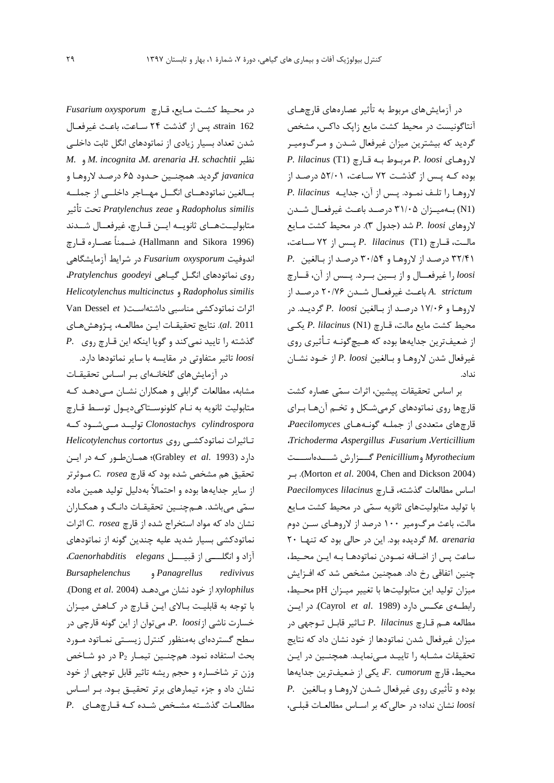در آزمایشهای مربوط به تأثیر عصارههای قارچهـای آنتاگونیست در محیط کشت مایع زایک داکس، مشخص گردید که بیشترین میزان غیرفعال شـدن و مـرگ6ومیـر الضٍّابی *loosi .P* هطثاَ ثاِ قابضچ (1T(*lilacinus .P* بوده کـه پـس از گذشـت ٧٢ سـاعت، ٥٢/٠١ درصـد از الضٍّاب ضا تلا ًواَز. پاؽ اظ آى، جسایاِ *lilacinus .P* (N1) بهمییزان ۳۱/۰۵ درصد باعث غیرفعـال شـدن الضٍّبی *loosi .P* قس )جسٍل 3(. زض هحیط کكت هابیع هبلاات، قاابضچ (1T(*lilacinus .P* پااؽ اظ 72 ؾاابعت، 32/41 زضناس اظ الضٍّاب ٍ 30/54 زضناس اظ ثابلغیي *.P loosi* را غیرفعـال و از بــین بـرد. پــس از آن، قــارچ *strictum .A* ثبعااث غیطفعاابل قااسى 20/76 زضنااس اظ الضٍّاب ٍ 17/06 زضناس اظ ثابلغیي *loosi .P* گطزیاس. زض هحیط کكت هبیع هبلت، قابضچ (1N (*lilacinus .P* یکای از ضعیفترین جدایِهها بوده که هـیچ گونــه تـأثیری روی غیرفعال شدن لاروهـا و بـالغین *P. loosi ا*ز خـود نشـان ًساز.

بر اساس تحقیقات پیشین، اثرات سمّی عصاره کشت قارچها روی نماتودهای کرمیشکل و تخم آنها برای قبضچّبی هتعسزی اظ جولاِ گًَاِ ّابی *Paecilomyces*، ،*Trichoderma* ،*Aspergillus* ،*Fusarium* ،*Verticillium Myrothecium* ٍ*Penicillium* گاااعاضـ قاااسُاؾااات  $, \Box$  . (Morton *et al.* 2004, Chen and Dickson 2004). اؾبؼ هطبلعبت گصقت،ِ قابضچ *lilacinus Paecilomyces* با تولید متابولیتهای ثانویه سمّی در محیط کشت مـایع مالت، باعث مرگ0میر ۱۰۰ درصد از لاروهـای ســن دوم *X* · اود که تنها ۲۰ گردیده بود. این در حالی بود که تنها ساعت پس از اضـافه نمـودن نماتودهـا بـه ایـن محـیط، چنین اتفاقی رخ داد. همچنین مشخص شد که افـزایش میزان تولید این متابولیتها با تغییر میـزان pH محـیط، رابطه ی عکس دارد (Cayrol et al. 1989). در ایس هطالعه هـم قـارچ *P. lilacinus ت*اثير قابـل تـوجهي در میزان غیرفعال شدن نماتودها از خود نشان داد که نتایج تحقیقات مشـابه را تاییـد مـیiمایـد. همچنـین در ایـن محیط، قارچ *F. cumorum، ی*کی از ضعیفترین جدایهها ثَزُ ٍ تأثیطی ضٍی غیطفعبل قاسى الضٍّاب ٍ ثابلغیي *.P loosi* ًكبى ًساز؛ زض حبلیکِ ثط اؾابؼ هطبلعابت قجلای،

زض هحایط کكات هابیع، قابضچ *oxysporum Fusarium* strain 162، پس از گذشت ٢۴ سـاعت، باعـث غیرفعـال شدن تعداد بسیار زیادی از نماتودهای انگل ثابت داخلی *M.* ٍ *M. incognita* ،*M. arenaria* ،*H. schachtii* ییطً javanica گردید. همچنـین حـدود ۶۵ درصـد لاروهـا و بسالغین نماتودهسای انگسل مهساجر داخلسی از جملسه تأثیط تحت *Pratylenchus zeae* ٍ *Radopholus similis* متابولیــتهــای ثانویــه ایــن قــارچ، غیرفعــال شــدند (Hallmann and Sikora 1996). ضـمناً عصـاره قــارچ اندوفیت *Fusarium oxysporum در* شرایط آزمایشگاهی ضٍی ًوبتَزّبی اً ال گیابّی *goodeyi Pratylenchus*، *Helicotylenchus multicinctus* ٍ *Radopholus similis* اثرات نماتودكشی مناسبی داشتهاست( Van Dessel et 2011 .*al*). ًتبیج تحقیقابت ایاي هطبلعا،ِ پاػٍّف ّابی گصقتِ ضا تبییس ًویکٌس ٍ گَیب ایٌکِ ایي قابضچ ضٍی *.P loosi* تاثیر متفاوتی در مقایسه با سایر نماتودها دارد.

در آزمایش های گلخانـهای بـر اسـاس تحقیقـات مشابه، مطالعات گرابلی و همکاران نشـان مـی دهـد کـه متابولیت ثانویه به نـام کلونوسـتاکیدیـول توسـط قـارچ *clonostachys cylindrospora* تولیــد مـــ شــود کــه تاثیرات نماتودکشی روی *Helicotylenchus cortortus* زاضز )1993 .*al et* Grabley)؛ ّوابىطاَض کاِ زض ایاي تحقیق هم مشخص شده بود که قا<sub>رچ</sub> C.  $rosea$  مـوثرتر از سایر جدایهها بوده و احتمالاً بهدلیل تولید همین ماده سمّی میباشد. هـمچنـین تحقیقـات دانـگ و همکـاران ًكبى زاز کِ هَاز اؾترطا قسُ اظ قبضچ *rosea .C* اثطات نماتودکشی بسیار شدید علیه چندین گونه از نماتودهای آظاز ٍ اً لااای اظ قجیااال *elegans Caenorhabditis*، *Bursaphelenchus* ٍ *Panagrellus redivivus xylophilus* اظ ذَز ًكبى هیزّاس (2004 .*al et* Dong(. با توجه به قابلیت بالای ایـن قـارچ در کـاهش میـزان خسارت ناشی از *P. loosi، می*توان از این گونه قارچی در سطح گسترِدهای بِهمنظور کنترل زیستی نمـاتود مـورد بحث استفاده نمود. هم چنين تیمـار  $P_2$  در دو شـاخص وزن تر شاخساره و حجم ریشه تاثیر قابل توجهی از خود نشان داد و جزء تیمارهای برتر تحقیـق بـود. بـر اسـاس هطبلعابت گصقاتِ هكارم قاسُ کاِ قابضچّابی *.P*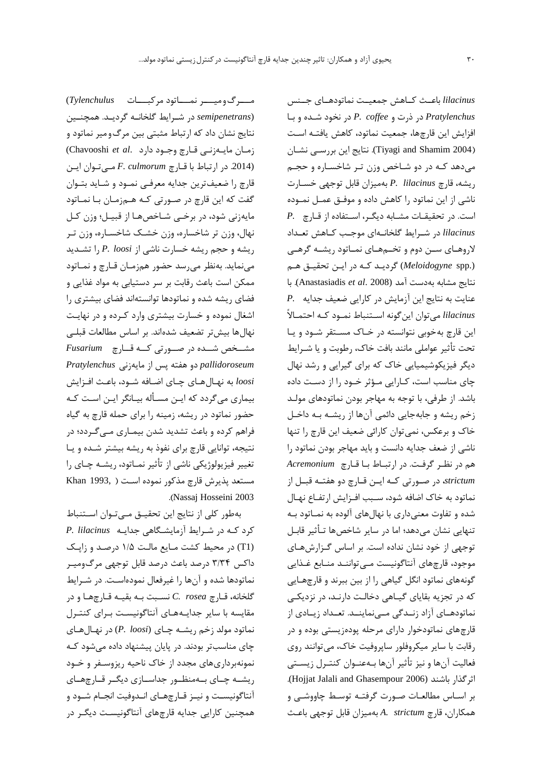*lilacinus* باعـث کــاهش جمعیــت نماتودهــای جــنس *Pratylenchus* زض شضت ٍ *coffee .P* زض ًرَز قاسُ ٍ ثاب افزایش این قارچها، جمعیت نماتود، کاهش یافتـه اسـت (Tiyagi and Shamim 2004). نتایج این بررسـی نشـان میِدهد کـه در دو شـاخص وزن تـر شاخسـاره و حجـم ضیك،ِ قبضچ *lilacinus .P* ثِهیعاى قبثل تَجْی ذؿابضت ناشی از این نماتود را کاهش داده و موفـق عمـل نمـوده اؾت. زض تحقیقابت هكابثِ زی اط، اؾاتفبزُ اظ قابضچ *.P lilacinus* در شـرایط گلخانـهای موجـب کـاهش تعـداد لاروهـای سـن دوم و تخــمهـای نمــاتود ریشــه گرهــی (*Meloidogyne* spp.) گردیـد کـه در ایـن تحقیـق هـم ًتبیج هكبثِ ثِزؾت آهس (2008 .*al et* Anastasiadis(. ثب عنایت به نتایج این آزمایش در کارایی ضعیف جدایه .P. *lilacinus می* توان این گونه اسـتنباط نمـود کـه احتمـالاً این قارچ بهخوبی نتوانسته در خـاک مسـتقر شـود و یـا تحت تأثیر عواملی مانند بافت خاک، رطوبت و یا شـرایط دیگر فیزیکوشیمیایی خاک که برای گیرایی و رشد نهال چای مناسب است، کـارایی مـؤثر خـود را از دسـت داده باشد. از طرفی، با توجه به مهاجر بودن نماتودهای مولـد زخم ریشه و جابهجایی دائمی آنها از ریشـه بـه داخـل خاک و برعکس، نمی توان کارائی ضعیف این قارچ را تنها ناشی از ضعف جدایه دانست و باید مهاجر بودن نماتود را ّن زض ًیاط گطفات. زض اضتجاب ثاب قابضچ *Acremonium strictum*، زض ناَضتی کاِ ایاي قابضچ زٍ ّفتاِ قجال اظ نماتود به خاک اضافه شود، سـبب افـزایش ارتفــاع نهــال شده و تفاوت معنی داری با نهال های آلوده به نمـاتود بـه تنهایی نشان می،دهد؛ اما در سایر شاخصها تـأثیر قابـل توجهی از خود نشان نداده است. بر اساس گـزارش هـای موجود، قارچهای آنتاگونیست مـی تواننـد منـابع غـذایی گونههای نماتود انگل گیاهی را از بین ببرند و قارچهـایی که در تجزیه بقایای گیاهی دخالت دارنـد، در نزدیکـی نماتودهـای آزاد زنـدگی مـینماینـد. تعـداد زیـادی از قارچهای نماتودخوار دارای مرحله پودهزیستی بوده و در رقابت با سایر میکروفلور ساپروفیت خاک، می توانند روی فعالیت آنها و نیز تأثیر آنها بـهعنــوان کنتــرل زیســتی .(Hojjat Jalali and Ghasempour 2006) سٌثبق اثطگصاض بر اسـاس مطالعـات صـورت گرفتـه توسـط چاووشـی و همکاران، قارچ *A. strictum ب*همیزان قابل توجهی باعث

هاااط ٍهیاااط ًوااابتَز هطکجااابت *Tylenchulus*( (semipenetrans در شرایط گلخانـه گردیـد. همچنـین نتايج نشان داد که ارتباط مثبتی بين مرگ ومیر نماتود و ظهابى هبیاِ ظًای قابضچ ٍجاَز زاضز .*al et* Chavooshi( (2014. در ارتباط با قـارچ *F. culmorum* مـى تـوان ايـن قارچ را ضعیفترین جدایه معرفیی نمـود و شـاید بتـوان گفت که این قارچ در صـورتی کـه هـم;مـان بـا نمـاتود مایهزنی شود، در برخی شـاخصهـا از قبیـل؛ وزن کـل نهال، وزن تر شاخساره، وزن خشـك شاخسـاره، وزن تـر ضیكِ ٍ حجن ضیكِ ذؿبضت ًبقی اظ *loosi .P* ضا تكاسیس می نماید. بهنظر می رسد حضور همزمـان قـارچ و نمـاتود ممکن است باعث رقابت بر سر دستیابی به مواد غذایی و فضای ریشه شده و نماتودها توانستهاند فضای بیشتری را اشغال نموده و خسارت بیشتری وارد کرده و در نهایت نهال ها بیش تر تضعیف شدهاند. بر اساس مطالعات قبلبی هكاارم قااسُ زض نااَضتی کااِ قاابضچ *Fusarium pallidoroseum* زٍ ّفتِ پؽ اظ هبیِظًی *Pratylenchus loosi* ثِ ًْابل ّابی چابی اضابفِ قاَز، ثبعاث افاعایف بیماری میگردد که ایـن مسـأله بیـانگر ایـن اسـت کـه حضور نماتود در ریشه، زمینه را برای حمله قارچ به گیاه فراهم کرده و باعث تشدید شدن بیمـاری مـیگـردد؛ در نتیجه، توانایی قارچ برای نفوذ به ریشه بیشتر شـده و یا تغییر فیزیولوژیکی ناشی از تأثیر نمـاتود، ریشـه چـای را هستعد پذيرش قارچ مذكور نموده است ( Khan 1993 .)Nassaj Hosseini 2003

بِهطور کلی از نتایج این تحقیــق مــیتـوان اســتنباط کطز کاِ زض قاطایط آظهبیكا بّی جسایاِ *lilacinus .P* (T1) در محیط کشت مایع مالت ۱/۵ درصد و زایک داکس ۳/۳۴ درصد باعث درصد قابل توجهی مرگومیـر نماتودها شده و آنها را غیرفعال نمودهاست. در شـرایط  $c$ . *rosea* گلخانه، قـارچ  $c$ .  $r$ *osea* تسـبت بـه بقیـه قـارچهـا و در مقایسه با سایر جدایـههـای آنتاگونیسـت بـرای کنتـرل ًوبتَز هَلس ظذن ضیكاِ چابی (*loosi .P* (زض ًْابل ّابی چای مناسبتر بودند. در پایان پیشنهاد داده می شود ک نمونهبرداریهای مجدد از خاک ناحیه ریزوسـفر و خـود ریشـه چـای بـهمنظـور جداسـازی دیگـر قـارچهـای آنتاگونیست و نیـز قـارچهـای انـدوفیت انجـام شـود و همچنین کارایی جدایه قارچهای آنتاگونیست دیگـر در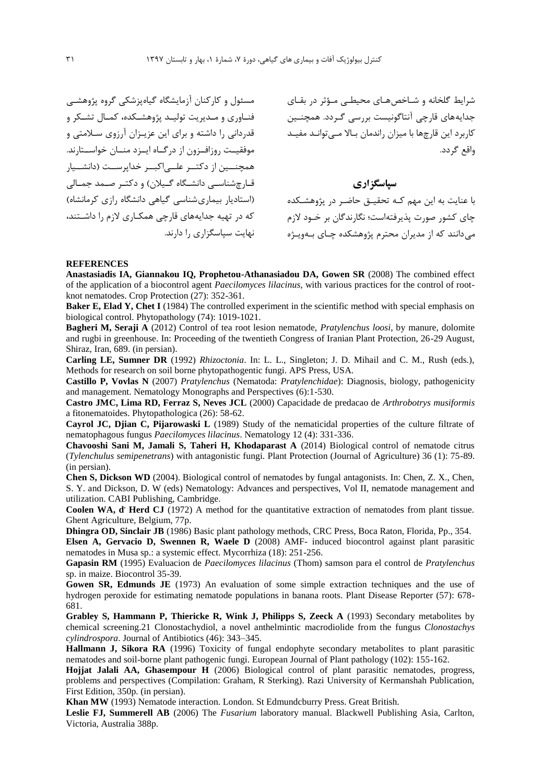مسئول و کارکنان ازمایشگاه گیاهپزشکی گروه پژوهشـی فنـاوری و مـدیریت تولیــد پژوهشــکده، کمـال تشــکر و قدردانی را داشته و برای این عزیــزان ارزوی ســلامتی و موفقیــت روزافــزون از درگــاه ایــزد منــان خواســتارند. همچنـــین از دکتــر علـــی|کبــر خدایرســت (دانشـــیار قـارچشناسـی دانشـگاه گـیلان) و دکتـر صـمد جمـالی (استادیار بیماری شناسی گیاهی دانشگاه رازی کرمانشاه) که در تهیه جدایههای قارچی همکـاری لازم را داشــتند،

شرایط گلخانه و شـاخصهـای محیطـی مـؤثر در بقـای جدایههای قارچی انتاگونیست بررسی گـردد. همچنـین کاربرد این قارچها با میزان راندمان بـالا مـىتوانـد مفيـد واقع گردد.

### **سپاسگزاری**

با عنایت به این مهم کـه تحقیــق حاضــر در پژوهشــکده چای کشور صورت پذیرفتهاست؛ نگارندگان بر خـود لازم میدانند که از مدیران محترم پژوهشکده چـای بـهویـژه نهایت سپاسگزاری را دارند.

#### **REFERENCES**

**Anastasiadis IA, Giannakou IQ, Prophetou-Athanasiadou DA, Gowen SR** (2008) The combined effect of the application of a biocontrol agent *Paecilomyces lilacinus*, with various practices for the control of rootknot nematodes. Crop Protection (27): 352-361.

**Baker E, Elad Y, Chet I** (1984) The controlled experiment in the scientific method with special emphasis on biological control. Phytopathology (74): 1019-1021.

**Bagheri M, Seraji A** (2012) Control of tea root lesion nematode, *Pratylenchus loosi*, by manure, dolomite and rugbi in greenhouse. In: Proceeding of the twentieth Congress of Iranian Plant Protection, 26-29 August, Shiraz, Iran, 689. (in persian).

**Carling LE, Sumner DR** (1992) *Rhizoctonia*. In: L. L., Singleton; J. D. Mihail and C. M., Rush (eds.), Methods for research on soil borne phytopathogentic fungi. APS Press, USA.

**Castillo P, Vovlas N** (2007) *Pratylenchus* (Nematoda: *Pratylenchidae*): Diagnosis, biology, pathogenicity and management. Nematology Monographs and Perspectives (6):1-530.

**Castro JMC, Lima RD, Ferraz S, Neves JCL** (2000) Capacidade de predacao de *Arthrobotrys musiformis* a fitonematoides. Phytopathologica (26): 58-62.

**Cayrol JC, Djian C, Pijarowaski L** (1989) Study of the nematicidal properties of the culture filtrate of nematophagous fungus *Paecilomyces lilacinus*. Nematology 12 (4): 331-336.

**Chavooshi Sani M, Jamali S, Taheri H, Khodaparast A** (2014) Biological control of nematode citrus (*Tylenchulus semipenetrans*) with antagonistic fungi. Plant Protection (Journal of Agriculture) 36 (1): 75-89. (in persian).

**Chen S, Dickson WD** (2004). Biological control of nematodes by fungal antagonists. In: Chen, Z. X., Chen, S. Y. and Dickson, D. W (eds) Nematology: Advances and perspectives, Vol II, nematode management and utilization. CABI Publishing, Cambridge.

**Coolen WA, d, Herd CJ** (1972) A method for the quantitative extraction of nematodes from plant tissue. Ghent Agriculture, Belgium, 77p.

**Dhingra OD, Sinclair JB** (1986) Basic plant pathology methods, CRC Press, Boca Raton, Florida, Pp., 354.

**Elsen A, Gervacio D, Swennen R, Waele D** (2008) AMF- induced biocontrol against plant parasitic nematodes in Musa sp.: a systemic effect. Mycorrhiza (18): 251-256.

**Gapasin RM** (1995) Evaluacion de *Paecilomyces lilacinus* (Thom) samson para el control de *Pratylenchus* sp. in maize. Biocontrol 35-39.

**Gowen SR, Edmunds JE** (1973) An evaluation of some simple extraction techniques and the use of hydrogen peroxide for estimating nematode populations in banana roots. Plant Disease Reporter (57): 678- 681.

**Grabley S, Hammann P, Thiericke R, Wink J, Philipps S, Zeeck A** (1993) Secondary metabolites by chemical screening.21 Clonostachydiol, a novel anthelmintic macrodiolide from the fungus *Clonostachys cylindrospora*. Journal of Antibiotics (46): 343–345.

**Hallmann J, Sikora RA** (1996) Toxicity of fungal endophyte secondary metabolites to plant parasitic nematodes and soil-borne plant pathogenic fungi. European Journal of Plant pathology (102): 155-162.

**Hojjat Jalali AA, Ghasempour H** (2006) Biological control of plant parasitic nematodes, progress, problems and perspectives (Compilation: Graham, R Sterking). Razi University of Kermanshah Publication, First Edition, 350p. (in persian).

**Khan MW** (1993) Nematode interaction. London. St Edmundcburry Press. Great British.

**Leslie FJ, Summerell AB** (2006) The *Fusarium* laboratory manual. Blackwell Publishing Asia, Carlton, Victoria, Australia 388p.